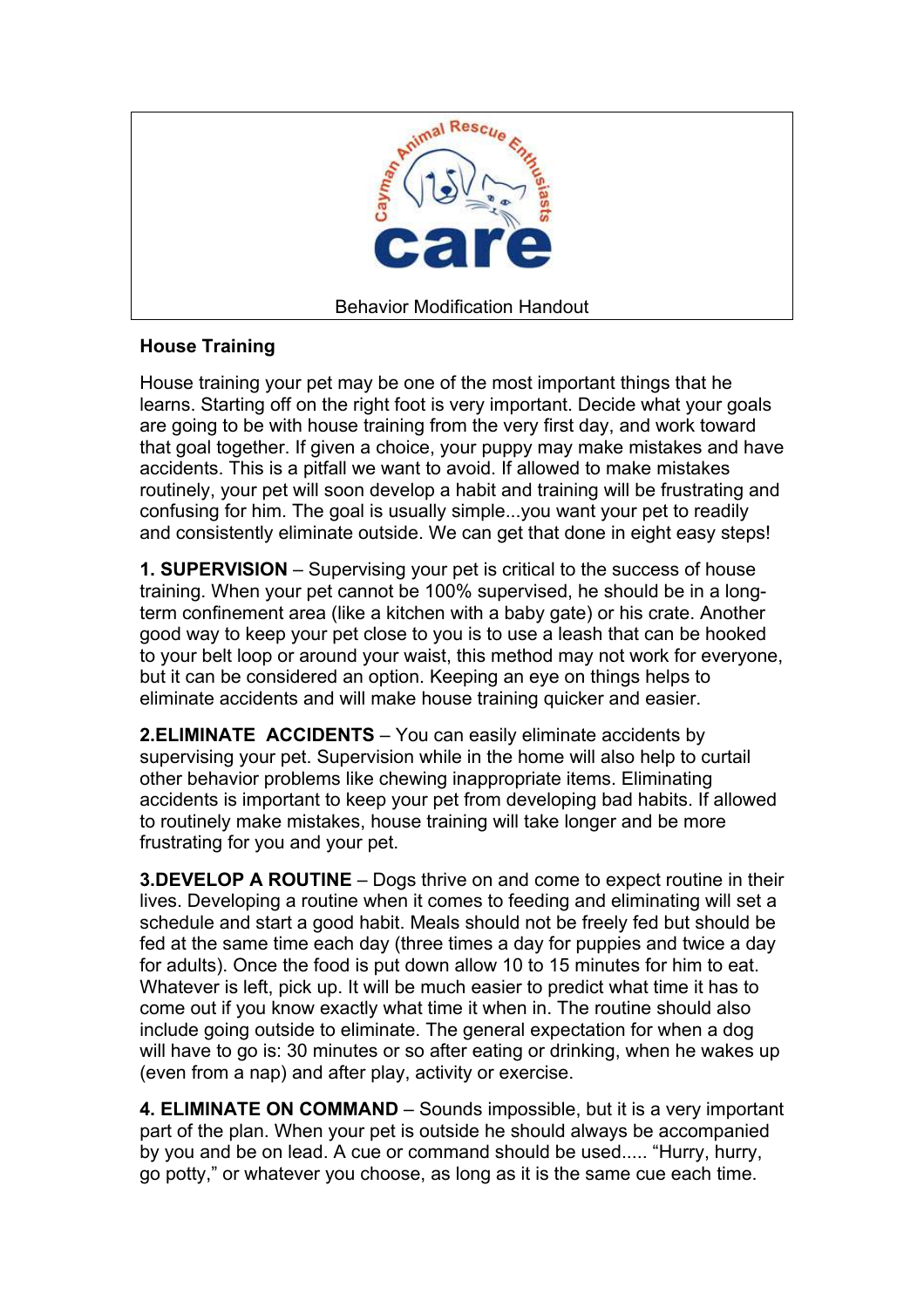

## **House Training**

House training your pet may be one of the most important things that he learns. Starting off on the right foot is very important. Decide what your goals are going to be with house training from the very first day, and work toward that goal together. If given a choice, your puppy may make mistakes and have accidents. This is a pitfall we want to avoid. If allowed to make mistakes routinely, your pet will soon develop a habit and training will be frustrating and confusing for him. The goal is usually simple...you want your pet to readily and consistently eliminate outside. We can get that done in eight easy steps!

**1. SUPERVISION** – Supervising your pet is critical to the success of house training. When your pet cannot be 100% supervised, he should be in a longterm confinement area (like a kitchen with a baby gate) or his crate. Another good way to keep your pet close to you is to use a leash that can be hooked to your belt loop or around your waist, this method may not work for everyone, but it can be considered an option. Keeping an eye on things helps to eliminate accidents and will make house training quicker and easier.

**2.ELIMINATE ACCIDENTS** – You can easily eliminate accidents by supervising your pet. Supervision while in the home will also help to curtail other behavior problems like chewing inappropriate items. Eliminating accidents is important to keep your pet from developing bad habits. If allowed to routinely make mistakes, house training will take longer and be more frustrating for you and your pet.

**3.DEVELOP A ROUTINE** – Dogs thrive on and come to expect routine in their lives. Developing a routine when it comes to feeding and eliminating will set a schedule and start a good habit. Meals should not be freely fed but should be fed at the same time each day (three times a day for puppies and twice a day for adults). Once the food is put down allow 10 to 15 minutes for him to eat. Whatever is left, pick up. It will be much easier to predict what time it has to come out if you know exactly what time it when in. The routine should also include going outside to eliminate. The general expectation for when a dog will have to go is: 30 minutes or so after eating or drinking, when he wakes up (even from a nap) and after play, activity or exercise.

**4. ELIMINATE ON COMMAND** – Sounds impossible, but it is a very important part of the plan. When your pet is outside he should always be accompanied by you and be on lead. A cue or command should be used..... "Hurry, hurry, go potty," or whatever you choose, as long as it is the same cue each time.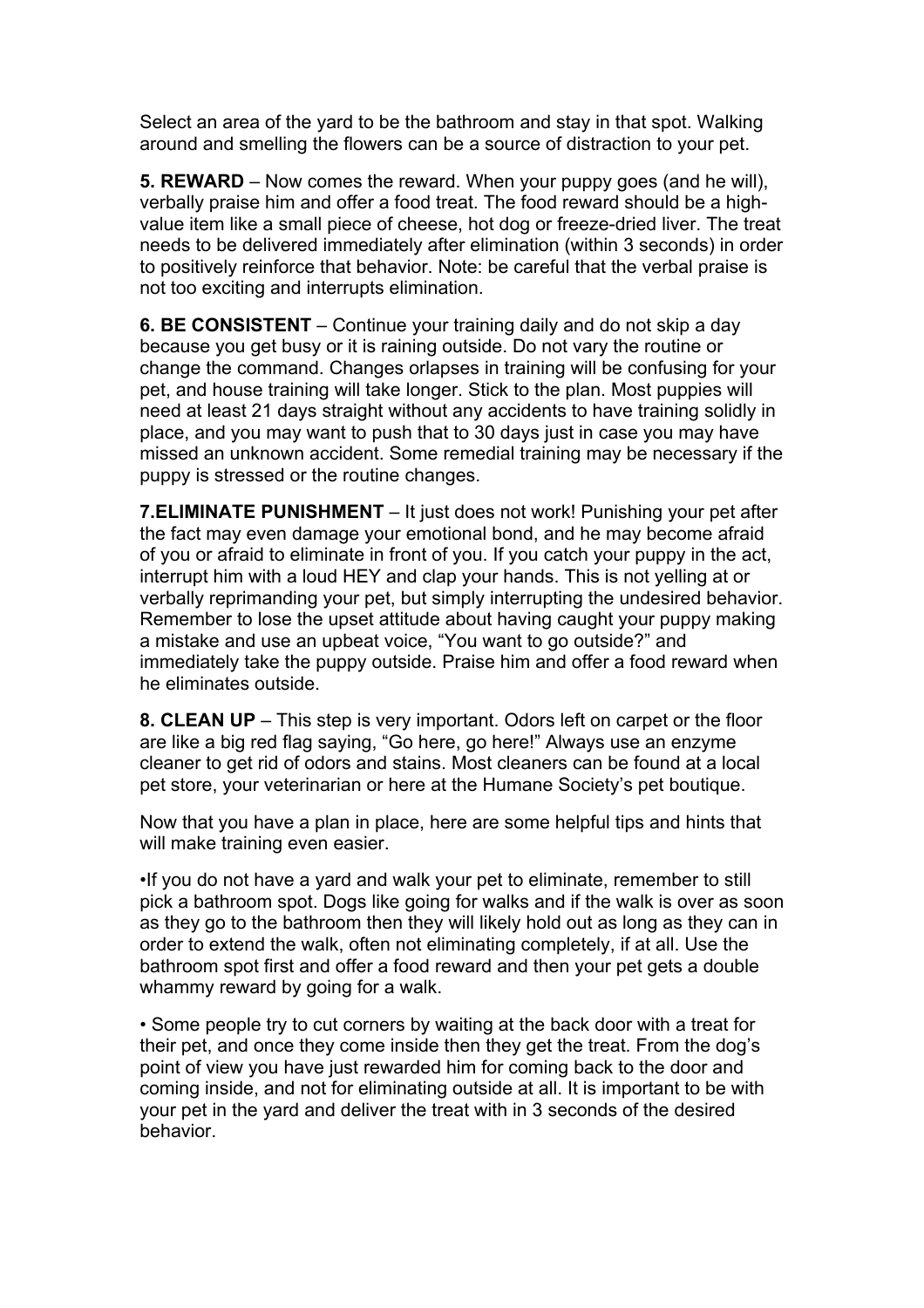Select an area of the yard to be the bathroom and stay in that spot. Walking around and smelling the flowers can be a source of distraction to your pet.

**5. REWARD** – Now comes the reward. When your puppy goes (and he will), verbally praise him and offer a food treat. The food reward should be a highvalue item like a small piece of cheese, hot dog or freeze-dried liver. The treat needs to be delivered immediately after elimination (within 3 seconds) in order to positively reinforce that behavior. Note: be careful that the verbal praise is not too exciting and interrupts elimination.

**6. BE CONSISTENT** – Continue your training daily and do not skip a day because you get busy or it is raining outside. Do not vary the routine or change the command. Changes orlapses in training will be confusing for your pet, and house training will take longer. Stick to the plan. Most puppies will need at least 21 days straight without any accidents to have training solidly in place, and you may want to push that to 30 days just in case you may have missed an unknown accident. Some remedial training may be necessary if the puppy is stressed or the routine changes.

**7.ELIMINATE PUNISHMENT** – It just does not work! Punishing your pet after the fact may even damage your emotional bond, and he may become afraid of you or afraid to eliminate in front of you. If you catch your puppy in the act, interrupt him with a loud HEY and clap your hands. This is not yelling at or verbally reprimanding your pet, but simply interrupting the undesired behavior. Remember to lose the upset attitude about having caught your puppy making a mistake and use an upbeat voice, "You want to go outside?" and immediately take the puppy outside. Praise him and offer a food reward when he eliminates outside.

**8. CLEAN UP** – This step is very important. Odors left on carpet or the floor are like a big red flag saying, "Go here, go here!" Always use an enzyme cleaner to get rid of odors and stains. Most cleaners can be found at a local pet store, your veterinarian or here at the Humane Society's pet boutique.

Now that you have a plan in place, here are some helpful tips and hints that will make training even easier.

•If you do not have a yard and walk your pet to eliminate, remember to still pick a bathroom spot. Dogs like going for walks and if the walk is over as soon as they go to the bathroom then they will likely hold out as long as they can in order to extend the walk, often not eliminating completely, if at all. Use the bathroom spot first and offer a food reward and then your pet gets a double whammy reward by going for a walk.

• Some people try to cut corners by waiting at the back door with a treat for their pet, and once they come inside then they get the treat. From the dog's point of view you have just rewarded him for coming back to the door and coming inside, and not for eliminating outside at all. It is important to be with your pet in the yard and deliver the treat with in 3 seconds of the desired behavior.